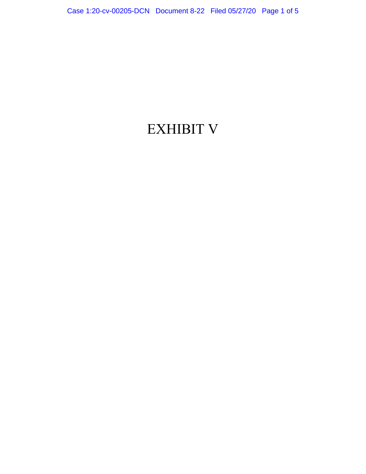## EXHIBIT V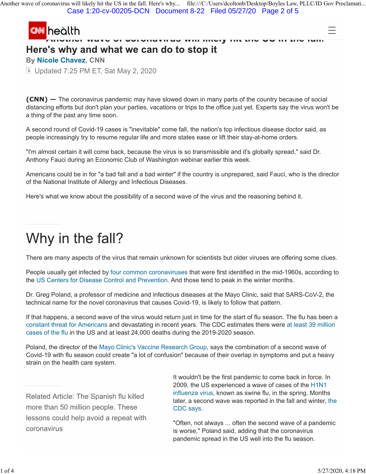Another wave of coronavirus will likely hit the US in the fall. Here's why... file:///C:/Users/dcoltonb/Desktop/Boyles Law, PLLC/ID Gov Proclamati... Case 1:20-cv-00205-DCN Document 8-22 Filed 05/27/20 Page 2 of 5

טרט אוויר עוטרווווווער שט ווידאווט וט

#### **CNN** heàlth

Here's why and what we can do to stop it

**By Nicole Chavez, CNN**

**E** Updated 7:25 PM ET, Sat May 2, 2020

**(CNN) —** The coronavirus pandemic may have slowed down in many parts of the country because of social distancing efforts but don't plan your parties, vacations or trips to the office just yet. Experts say the virus won't be a thing of the past any time soon.

A second round of Covid-19 cases is "inevitable" come fall, the nation's top infectious disease doctor said, as people increasingly try to resume regular life and more states ease or lift their stay-at-home orders.

"I'm almost certain it will come back, because the virus is so transmissible and it's globally spread," said Dr. Anthony Fauci during an Economic Club of Washington webinar earlier this week.

Americans could be in for "a bad fall and a bad winter" if the country is unprepared, said Fauci, who is the director of the National Institute of Allergy and Infectious Diseases.

Here's what we know about the possibility of a second wave of the virus and the reasoning behind it.

# Why in the fall?

There are many aspects of the virus that remain unknown for scientists but older viruses are offering some clues.

People usually get infected by four common coronaviruses that were first identified in the mid-1960s, according to the US Centers for Disease Control and Prevention. And those tend to peak in the winter months.

Dr. Greg Poland, a professor of medicine and infectious diseases at the Mayo Clinic, said that SARS-CoV-2, the technical name for the novel coronavirus that causes Covid-19, is likely to follow that pattern.

If that happens, a second wave of the virus would return just in time for the start of flu season. The flu has been a constant threat for Americans and devastating in recent years. The CDC estimates there were at least 39 million cases of the flu in the US and at least 24,000 deaths during the 2019-2020 season.

Poland, the director of the Mayo Clinic's Vaccine Research Group, says the combination of a second wave of Covid-19 with flu season could create "a lot of confusion" because of their overlap in symptoms and put a heavy strain on the health care system.

Related Article: The Spanish flu killed more than 50 million people. These lessons could help avoid a repeat with coronavirus

It wouldn't be the first pandemic to come back in force. In 2009, the US experienced a wave of cases of the H1N1 influenza virus, known as swine flu, in the spring. Months later, a second wave was reported in the fall and winter, the CDC says.

"Often, not always ... often the second wave of a pandemic is worse," Poland said, adding that the coronavirus pandemic spread in the US well into the flu season.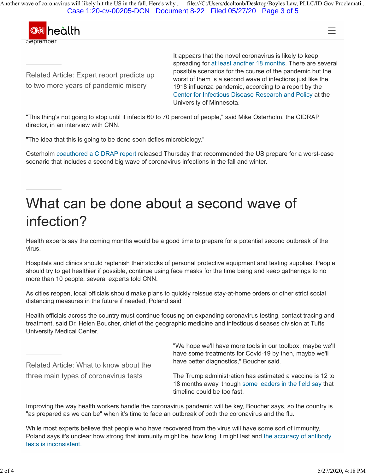Another wave of coronavirus will likely hit the US in the fall. Here's why... file:///C:/Users/dcoltonb/Desktop/Boyles Law, PLLC/ID Gov Proclamati... Case 1:20-cv-00205-DCN Document 8-22 Filed 05/27/20 Page 3 of 5



Related Article: Expert report predicts up to two more years of pandemic misery

It appears that the novel coronavirus is likely to keep spreading for at least another 18 months. There are several possible scenarios for the course of the pandemic but the worst of them is a second wave of infections just like the 1918 influenza pandemic, according to a report by the Center for Infectious Disease Research and Policy at the University of Minnesota.

 $\equiv$ 

"This thing's not going to stop until it infects 60 to 70 percent of people," said Mike Osterholm, the CIDRAP director, in an interview with CNN.

"The idea that this is going to be done soon defies microbiology."

Osterholm coauthored a CIDRAP report released Thursday that recommended the US prepare for a worst-case scenario that includes a second big wave of coronavirus infections in the fall and winter.

## What can be done about a second wave of infection?

Health experts say the coming months would be a good time to prepare for a potential second outbreak of the virus.

Hospitals and clinics should replenish their stocks of personal protective equipment and testing supplies. People should try to get healthier if possible, continue using face masks for the time being and keep gatherings to no more than 10 people, several experts told CNN.

As cities reopen, local officials should make plans to quickly reissue stay-at-home orders or other strict social distancing measures in the future if needed, Poland said

Health officials across the country must continue focusing on expanding coronavirus testing, contact tracing and treatment, said Dr. Helen Boucher, chief of the geographic medicine and infectious diseases division at Tufts University Medical Center.

Related Article: What to know about the three main types of coronavirus tests

"We hope we'll have more tools in our toolbox, maybe we'll have some treatments for Covid-19 by then, maybe we'll have better diagnostics," Boucher said.

The Trump administration has estimated a vaccine is 12 to 18 months away, though some leaders in the field say that timeline could be too fast.

Improving the way health workers handle the coronavirus pandemic will be key, Boucher says, so the country is "as prepared as we can be" when it's time to face an outbreak of both the coronavirus and the flu.

While most experts believe that people who have recovered from the virus will have some sort of immunity, Poland says it's unclear how strong that immunity might be, how long it might last and the accuracy of antibody tests is inconsistent.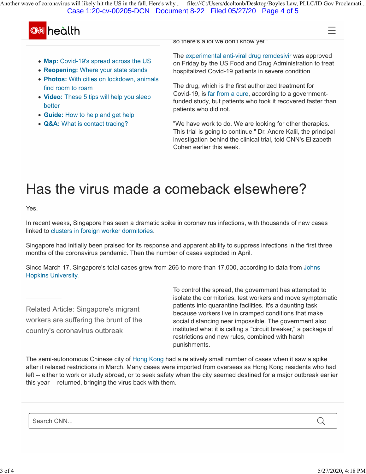Another wave of coronavirus will likely hit the US in the fall. Here's why... file:///C:/Users/dcoltonb/Desktop/Boyles Law, PLLC/ID Gov Proclamati... Case 1:20-cv-00205-DCN Document 8-22 Filed 05/27/20 Page 4 of 5



so there's a lot we don't know yet."

**Map:** Covid-19's spread across the US

- **Reopening:** Where your state stands
- **Photos:** With cities on lockdown, animals find room to roam
- **Video:** These 5 tips will help you sleep better
- **Guide:** How to help and get help
- **Q&A:** What is contact tracing?

The experimental anti-viral drug remdesivir was approved on Friday by the US Food and Drug Administration to treat hospitalized Covid-19 patients in severe condition.

 $\equiv$ 

The drug, which is the first authorized treatment for Covid-19, is far from a cure, according to a governmentfunded study, but patients who took it recovered faster than patients who did not.

"We have work to do. We are looking for other therapies. This trial is going to continue," Dr. Andre Kalil, the principal investigation behind the clinical trial, told CNN's Elizabeth Cohen earlier this week.

## Has the virus made a comeback elsewhere?

Yes.

In recent weeks, Singapore has seen a dramatic spike in coronavirus infections, with thousands of new cases linked to clusters in foreign worker dormitories.

Singapore had initially been praised for its response and apparent ability to suppress infections in the first three months of the coronavirus pandemic. Then the number of cases exploded in April.

Since March 17, Singapore's total cases grew from 266 to more than 17,000, according to data from Johns Hopkins University.

Related Article: Singapore's migrant workers are suffering the brunt of the country's coronavirus outbreak

To control the spread, the government has attempted to isolate the dormitories, test workers and move symptomatic patients into quarantine facilities. It's a daunting task because workers live in cramped conditions that make social distancing near impossible. The government also instituted what it is calling a "circuit breaker," a package of restrictions and new rules, combined with harsh punishments.

The semi-autonomous Chinese city of Hong Kong had a relatively small number of cases when it saw a spike after it relaxed restrictions in March. Many cases were imported from overseas as Hong Kong residents who had left -- either to work or study abroad, or to seek safety when the city seemed destined for a major outbreak earlier this year -- returned, bringing the virus back with them.

Search CNN...

Q